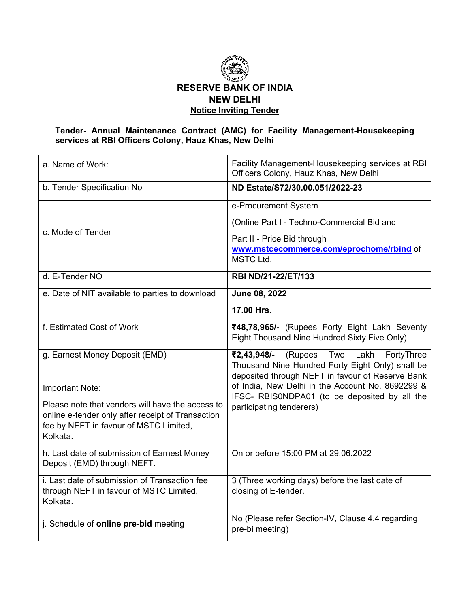

## **Tender- Annual Maintenance Contract (AMC) for Facility Management-Housekeeping services at RBI Officers Colony, Hauz Khas, New Delhi**

| a. Name of Work:                                                                                                                                            | Facility Management-Housekeeping services at RBI<br>Officers Colony, Hauz Khas, New Delhi                                                                   |
|-------------------------------------------------------------------------------------------------------------------------------------------------------------|-------------------------------------------------------------------------------------------------------------------------------------------------------------|
| b. Tender Specification No                                                                                                                                  | ND Estate/S72/30.00.051/2022-23                                                                                                                             |
|                                                                                                                                                             | e-Procurement System                                                                                                                                        |
|                                                                                                                                                             | (Online Part I - Techno-Commercial Bid and                                                                                                                  |
| c. Mode of Tender                                                                                                                                           | Part II - Price Bid through                                                                                                                                 |
|                                                                                                                                                             | www.mstcecommerce.com/eprochome/rbind of<br>MSTC Ltd.                                                                                                       |
| d. E-Tender NO                                                                                                                                              | RBI ND/21-22/ET/133                                                                                                                                         |
| e. Date of NIT available to parties to download                                                                                                             | June 08, 2022                                                                                                                                               |
|                                                                                                                                                             | 17.00 Hrs.                                                                                                                                                  |
| f. Estimated Cost of Work                                                                                                                                   | ₹48,78,965/- (Rupees Forty Eight Lakh Seventy<br>Eight Thousand Nine Hundred Sixty Five Only)                                                               |
| g. Earnest Money Deposit (EMD)                                                                                                                              | (Rupees<br>Two<br>Lakh<br>₹2,43,948/-<br>FortyThree<br>Thousand Nine Hundred Forty Eight Only) shall be<br>deposited through NEFT in favour of Reserve Bank |
| Important Note:                                                                                                                                             | of India, New Delhi in the Account No. 8692299 &<br>IFSC- RBISONDPA01 (to be deposited by all the                                                           |
| Please note that vendors will have the access to<br>online e-tender only after receipt of Transaction<br>fee by NEFT in favour of MSTC Limited,<br>Kolkata. | participating tenderers)                                                                                                                                    |
| h. Last date of submission of Earnest Money<br>Deposit (EMD) through NEFT.                                                                                  | On or before 15:00 PM at 29.06.2022                                                                                                                         |
| i. Last date of submission of Transaction fee<br>through NEFT in favour of MSTC Limited,<br>Kolkata.                                                        | 3 (Three working days) before the last date of<br>closing of E-tender.                                                                                      |
| j. Schedule of online pre-bid meeting                                                                                                                       | No (Please refer Section-IV, Clause 4.4 regarding<br>pre-bi meeting)                                                                                        |